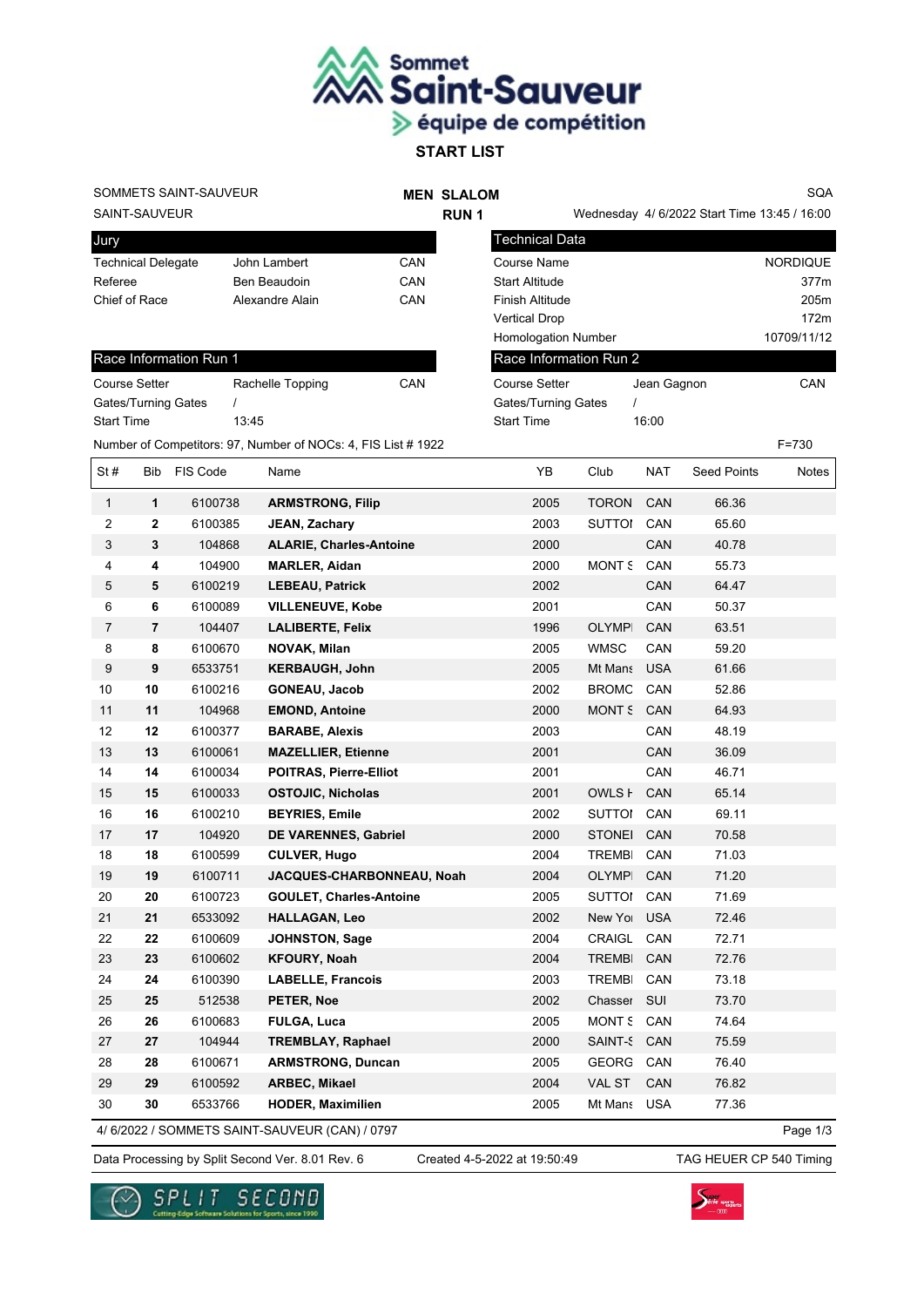

## SOMMETS SAINT-SAUVEUR

## **MEN SLALOM RUN 1**

SQA

SAINT-SAUVEUR

| Jury                      |                 |     |
|---------------------------|-----------------|-----|
| <b>Technical Delegate</b> | John Lambert    | CAN |
| Referee                   | Ben Beaudoin    | CAN |
| Chief of Race             | Alexandre Alain | CAN |

| Race Information Run 1     |                  |     |  |  |  |  |
|----------------------------|------------------|-----|--|--|--|--|
| <b>Course Setter</b>       | Rachelle Topping | CAN |  |  |  |  |
| <b>Gates/Turning Gates</b> |                  |     |  |  |  |  |
| <b>Start Time</b>          | 13.45            |     |  |  |  |  |

Number of Competitors: 97, Number of NOCs: 4, FIS List # 1922 F=730

|                                           | Wednesday 4/ 6/2022 Start Time 13:45 / 16:00 |                 |  |  |  |  |
|-------------------------------------------|----------------------------------------------|-----------------|--|--|--|--|
| <b>Technical Data</b>                     |                                              |                 |  |  |  |  |
| Course Name                               |                                              | <b>NORDIQUE</b> |  |  |  |  |
| <b>Start Altitude</b>                     |                                              | 377m            |  |  |  |  |
| Finish Altitude                           |                                              | 205m            |  |  |  |  |
| <b>Vertical Drop</b>                      |                                              | 172m            |  |  |  |  |
| 10709/11/12<br><b>Homologation Number</b> |                                              |                 |  |  |  |  |
| Race Information Run 2                    |                                              |                 |  |  |  |  |
| Course Setter                             | Jean Gagnon                                  | CAN             |  |  |  |  |
| <b>Gates/Turning Gates</b>                |                                              |                 |  |  |  |  |
| <b>Start Time</b>                         | 16:00                                        |                 |  |  |  |  |

| St#              | Bib            | FIS Code | Name                           | YB   | Club          | <b>NAT</b> | <b>Seed Points</b> | Notes |
|------------------|----------------|----------|--------------------------------|------|---------------|------------|--------------------|-------|
| $\mathbf{1}$     | $\mathbf{1}$   | 6100738  | <b>ARMSTRONG, Filip</b>        | 2005 | <b>TORON</b>  | CAN        | 66.36              |       |
| $\boldsymbol{2}$ | 2              | 6100385  | JEAN, Zachary                  | 2003 | <b>SUTTOI</b> | CAN        | 65.60              |       |
| 3                | 3              | 104868   | <b>ALARIE, Charles-Antoine</b> | 2000 |               | CAN        | 40.78              |       |
| 4                | 4              | 104900   | <b>MARLER, Aidan</b>           | 2000 | MONT S        | CAN        | 55.73              |       |
| 5                | 5              | 6100219  | <b>LEBEAU, Patrick</b>         | 2002 |               | CAN        | 64.47              |       |
| 6                | 6              | 6100089  | <b>VILLENEUVE, Kobe</b>        | 2001 |               | CAN        | 50.37              |       |
| $\overline{7}$   | $\overline{7}$ | 104407   | <b>LALIBERTE, Felix</b>        | 1996 | <b>OLYMPI</b> | CAN        | 63.51              |       |
| 8                | 8              | 6100670  | NOVAK, Milan                   | 2005 | <b>WMSC</b>   | CAN        | 59.20              |       |
| $\boldsymbol{9}$ | 9              | 6533751  | <b>KERBAUGH, John</b>          | 2005 | Mt Mans       | <b>USA</b> | 61.66              |       |
| 10               | 10             | 6100216  | <b>GONEAU, Jacob</b>           | 2002 | <b>BROMC</b>  | CAN        | 52.86              |       |
| 11               | 11             | 104968   | <b>EMOND, Antoine</b>          | 2000 | MONT S        | CAN        | 64.93              |       |
| 12               | 12             | 6100377  | <b>BARABE, Alexis</b>          | 2003 |               | CAN        | 48.19              |       |
| 13               | 13             | 6100061  | <b>MAZELLIER, Etienne</b>      | 2001 |               | CAN        | 36.09              |       |
| 14               | 14             | 6100034  | <b>POITRAS, Pierre-Elliot</b>  | 2001 |               | CAN        | 46.71              |       |
| 15               | 15             | 6100033  | <b>OSTOJIC, Nicholas</b>       | 2001 | OWLS <b>F</b> | CAN        | 65.14              |       |
| 16               | 16             | 6100210  | <b>BEYRIES, Emile</b>          | 2002 | <b>SUTTOI</b> | CAN        | 69.11              |       |
| 17               | 17             | 104920   | DE VARENNES, Gabriel           | 2000 | <b>STONEI</b> | CAN        | 70.58              |       |
| 18               | 18             | 6100599  | <b>CULVER, Hugo</b>            | 2004 | <b>TREMBI</b> | CAN        | 71.03              |       |
| 19               | 19             | 6100711  | JACQUES-CHARBONNEAU, Noah      | 2004 | OLYMPI        | CAN        | 71.20              |       |
| 20               | 20             | 6100723  | <b>GOULET, Charles-Antoine</b> | 2005 | SUTTOI        | CAN        | 71.69              |       |
| 21               | 21             | 6533092  | <b>HALLAGAN, Leo</b>           | 2002 | New Yor       | <b>USA</b> | 72.46              |       |
| 22               | 22             | 6100609  | <b>JOHNSTON, Sage</b>          | 2004 | CRAIGL        | CAN        | 72.71              |       |
| 23               | 23             | 6100602  | <b>KFOURY, Noah</b>            | 2004 | <b>TREMBI</b> | CAN        | 72.76              |       |
| 24               | 24             | 6100390  | <b>LABELLE, Francois</b>       | 2003 | <b>TREMBI</b> | CAN        | 73.18              |       |
| 25               | 25             | 512538   | PETER, Noe                     | 2002 | Chasser       | SUI        | 73.70              |       |
| 26               | 26             | 6100683  | <b>FULGA, Luca</b>             | 2005 | <b>MONT S</b> | CAN        | 74.64              |       |
| 27               | 27             | 104944   | <b>TREMBLAY, Raphael</b>       | 2000 | SAINT-S CAN   |            | 75.59              |       |
| 28               | 28             | 6100671  | <b>ARMSTRONG, Duncan</b>       | 2005 | GEORG         | CAN        | 76.40              |       |
| 29               | 29             | 6100592  | ARBEC, Mikael                  | 2004 | VAL ST        | CAN        | 76.82              |       |
| 30               | 30             | 6533766  | <b>HODER, Maximilien</b>       | 2005 | Mt Mans       | <b>USA</b> | 77.36              |       |

4/ 6/2022 / SOMMETS SAINT-SAUVEUR (CAN) / 0797

Page 1/3

Data Processing by Split Second Ver. 8.01 Rev. 6 Created 4-5-2022 at 19:50:49 TAG HEUER CP 540 Timing

Created 4-5-2022 at 19:50:49



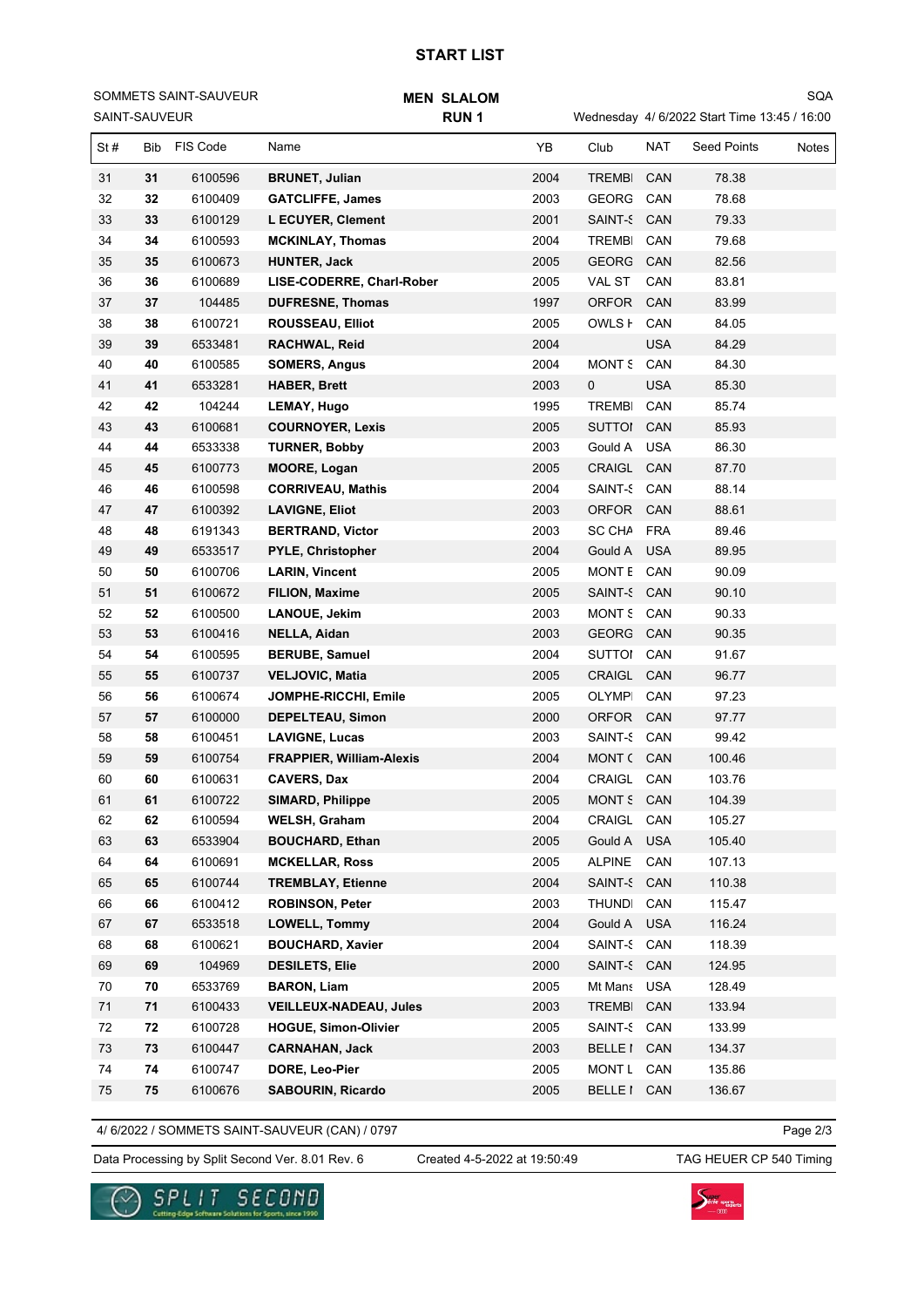## **START LIST**

SAINT-SAUVEUR SOMMETS SAINT-SAUVEUR Wednesday 4/ 6/2022 Start Time 13:45 / 16:00 SQA

| St# | Bib        | FIS Code | Name                            | YB   | Club           | <b>NAT</b> | <b>Seed Points</b> | Notes |
|-----|------------|----------|---------------------------------|------|----------------|------------|--------------------|-------|
| 31  | 31         | 6100596  | <b>BRUNET, Julian</b>           | 2004 | <b>TREMBI</b>  | CAN        | 78.38              |       |
| 32  | 32         | 6100409  | <b>GATCLIFFE, James</b>         | 2003 | GEORG CAN      |            | 78.68              |       |
| 33  | 33         | 6100129  | L ECUYER, Clement               | 2001 | SAINT-5 CAN    |            | 79.33              |       |
| 34  | 34         | 6100593  | <b>MCKINLAY, Thomas</b>         | 2004 | TREMBI         | CAN        | 79.68              |       |
| 35  | 35         | 6100673  | <b>HUNTER, Jack</b>             | 2005 | GEORG CAN      |            | 82.56              |       |
| 36  | 36         | 6100689  | LISE-CODERRE, Charl-Rober       | 2005 | VAL ST         | CAN        | 83.81              |       |
| 37  | 37         | 104485   | <b>DUFRESNE, Thomas</b>         | 1997 | ORFOR          | CAN        | 83.99              |       |
| 38  | 38         | 6100721  | <b>ROUSSEAU, Elliot</b>         | 2005 | OWLS <b>F</b>  | CAN        | 84.05              |       |
| 39  | 39         | 6533481  | RACHWAL, Reid                   | 2004 |                | <b>USA</b> | 84.29              |       |
| 40  | 40         | 6100585  | <b>SOMERS, Angus</b>            | 2004 | MONT S         | CAN        | 84.30              |       |
| 41  | 41         | 6533281  | <b>HABER, Brett</b>             | 2003 | 0              | <b>USA</b> | 85.30              |       |
| 42  | 42         | 104244   | <b>LEMAY, Hugo</b>              | 1995 | <b>TREMBI</b>  | CAN        | 85.74              |       |
| 43  | 43         | 6100681  | <b>COURNOYER, Lexis</b>         | 2005 | SUTTOI         | CAN        | 85.93              |       |
| 44  | 44         | 6533338  | <b>TURNER, Bobby</b>            | 2003 | Gould A        | <b>USA</b> | 86.30              |       |
| 45  | 45         | 6100773  | <b>MOORE, Logan</b>             | 2005 | CRAIGL CAN     |            | 87.70              |       |
| 46  | 46         | 6100598  | <b>CORRIVEAU, Mathis</b>        | 2004 | SAINT-5 CAN    |            | 88.14              |       |
| 47  | 47         | 6100392  | <b>LAVIGNE, Eliot</b>           | 2003 | ORFOR CAN      |            | 88.61              |       |
| 48  | 48         | 6191343  | <b>BERTRAND, Victor</b>         | 2003 | SC CHA FRA     |            | 89.46              |       |
| 49  | 49         | 6533517  | <b>PYLE, Christopher</b>        | 2004 | Gould A        | <b>USA</b> | 89.95              |       |
| 50  | 50         | 6100706  | <b>LARIN, Vincent</b>           | 2005 | MONT E CAN     |            | 90.09              |       |
| 51  | 51         | 6100672  | <b>FILION, Maxime</b>           | 2005 | SAINT-5 CAN    |            | 90.10              |       |
| 52  | 52         | 6100500  | <b>LANOUE, Jekim</b>            | 2003 | MONT S CAN     |            | 90.33              |       |
| 53  | 53         | 6100416  | NELLA, Aidan                    | 2003 | GEORG CAN      |            | 90.35              |       |
| 54  | 54         | 6100595  | <b>BERUBE, Samuel</b>           | 2004 | SUTTOI CAN     |            | 91.67              |       |
| 55  | 55         | 6100737  | <b>VELJOVIC, Matia</b>          | 2005 | CRAIGL         | CAN        | 96.77              |       |
| 56  | 56         | 6100674  | JOMPHE-RICCHI, Emile            | 2005 | OLYMPI         | CAN        | 97.23              |       |
| 57  | 57         | 6100000  | <b>DEPELTEAU, Simon</b>         | 2000 | ORFOR CAN      |            | 97.77              |       |
| 58  | 58         | 6100451  | <b>LAVIGNE, Lucas</b>           | 2003 | SAINT-5 CAN    |            | 99.42              |       |
| 59  | 59         | 6100754  | <b>FRAPPIER, William-Alexis</b> | 2004 | MONT ( CAN     |            | 100.46             |       |
| 60  | 60         | 6100631  | <b>CAVERS, Dax</b>              | 2004 | CRAIGL         | CAN        | 103.76             |       |
| 61  | 61         | 6100722  | <b>SIMARD, Philippe</b>         | 2005 | MONT S CAN     |            | 104.39             |       |
| 62  | 62         | 6100594  | <b>WELSH, Graham</b>            | 2004 | CRAIGL         | CAN        | 105.27             |       |
| 63  | 63         | 6533904  | <b>BOUCHARD, Ethan</b>          | 2005 | Gould A        | <b>USA</b> | 105.40             |       |
| 64  | 64         | 6100691  | <b>MCKELLAR, Ross</b>           | 2005 | <b>ALPINE</b>  | CAN        | 107.13             |       |
| 65  | 65         | 6100744  | <b>TREMBLAY, Etienne</b>        | 2004 | <b>SAINT-S</b> | CAN        | 110.38             |       |
| 66  | 66         | 6100412  | <b>ROBINSON, Peter</b>          | 2003 | <b>THUNDI</b>  | CAN        | 115.47             |       |
| 67  | 67         | 6533518  | LOWELL, Tommy                   | 2004 | Gould A        | <b>USA</b> | 116.24             |       |
| 68  | 68         | 6100621  | <b>BOUCHARD, Xavier</b>         | 2004 | SAINT-5 CAN    |            | 118.39             |       |
| 69  | 69         | 104969   | <b>DESILETS, Elie</b>           | 2000 | SAINT-5 CAN    |            | 124.95             |       |
| 70  | 70         | 6533769  | <b>BARON, Liam</b>              | 2005 | Mt Mans USA    |            | 128.49             |       |
| 71  | 71         | 6100433  | <b>VEILLEUX-NADEAU, Jules</b>   | 2003 | TREMBI CAN     |            | 133.94             |       |
| 72  | 72         | 6100728  | <b>HOGUE, Simon-Olivier</b>     | 2005 | SAINT-5 CAN    |            | 133.99             |       |
| 73  | 73         | 6100447  | <b>CARNAHAN, Jack</b>           | 2003 | BELLE I CAN    |            | 134.37             |       |
| 74  | 74         | 6100747  | DORE, Leo-Pier                  | 2005 | MONT L CAN     |            | 135.86             |       |
| 75  | ${\bf 75}$ | 6100676  | <b>SABOURIN, Ricardo</b>        | 2005 | BELLE I CAN    |            | 136.67             |       |

4/ 6/2022 / SOMMETS SAINT-SAUVEUR (CAN) / 0797

Page 2/3

Data Processing by Split Second Ver. 8.01 Rev. 6 Created 4-5-2022 at 19:50:49 TAG HEUER CP 540 Timing

Created 4-5-2022 at 19:50:49